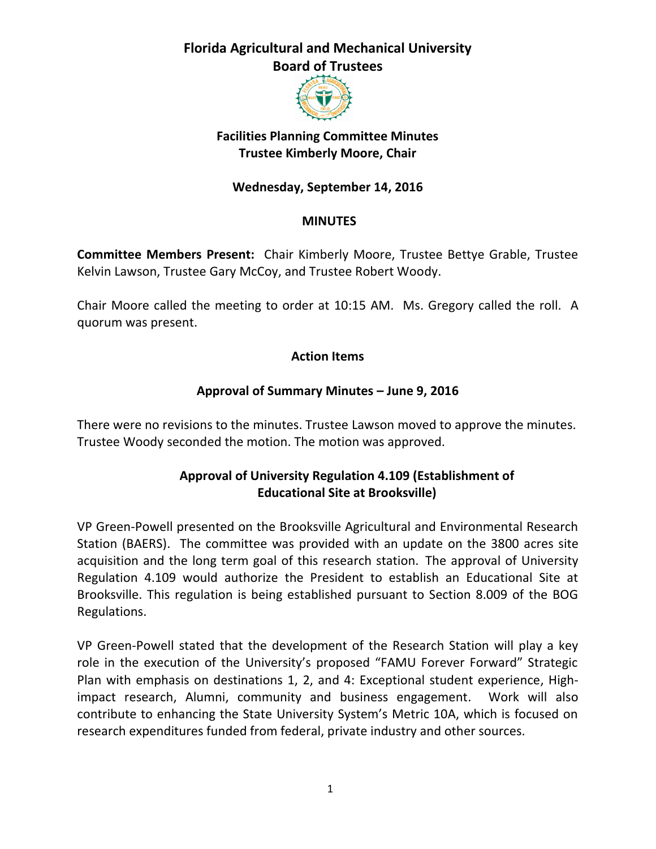

## **Facilities Planning Committee Minutes Trustee Kimberly Moore, Chair**

## **Wednesday, September 14, 2016**

#### **MINUTES**

**Committee Members Present:** Chair Kimberly Moore, Trustee Bettye Grable, Trustee Kelvin Lawson, Trustee Gary McCoy, and Trustee Robert Woody.

Chair Moore called the meeting to order at 10:15 AM. Ms. Gregory called the roll. A quorum was present.

#### **Action Items**

#### **Approval of Summary Minutes – June 9, 2016**

There were no revisions to the minutes. Trustee Lawson moved to approve the minutes. Trustee Woody seconded the motion. The motion was approved.

### **Approval of University Regulation 4.109 (Establishment of Educational Site at Brooksville)**

VP Green-Powell presented on the Brooksville Agricultural and Environmental Research Station (BAERS). The committee was provided with an update on the 3800 acres site acquisition and the long term goal of this research station. The approval of University Regulation 4.109 would authorize the President to establish an Educational Site at Brooksville. This regulation is being established pursuant to Section 8.009 of the BOG Regulations.

VP Green-Powell stated that the development of the Research Station will play a key role in the execution of the University's proposed "FAMU Forever Forward" Strategic Plan with emphasis on destinations 1, 2, and 4: Exceptional student experience, Highimpact research, Alumni, community and business engagement. Work will also contribute to enhancing the State University System's Metric 10A, which is focused on research expenditures funded from federal, private industry and other sources.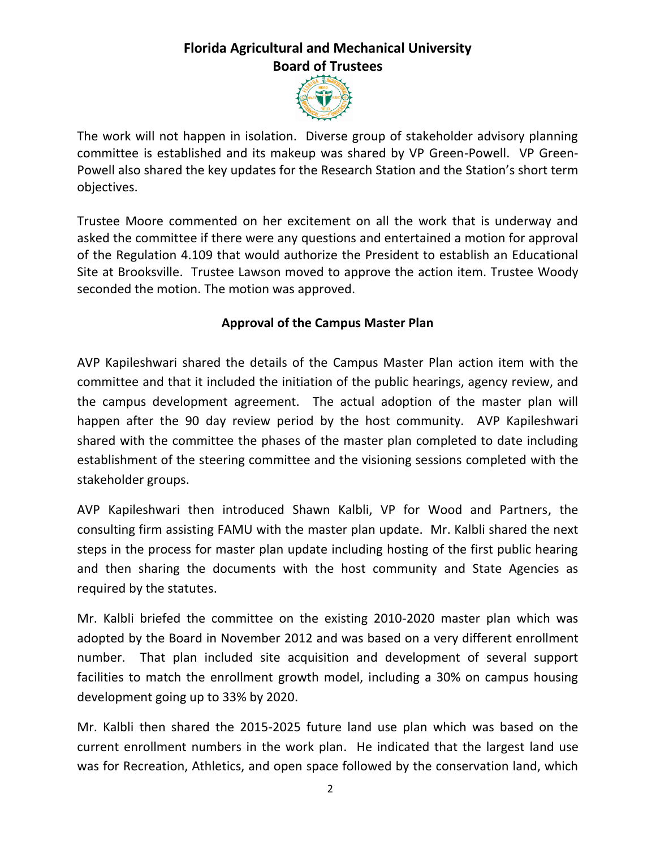

The work will not happen in isolation. Diverse group of stakeholder advisory planning committee is established and its makeup was shared by VP Green-Powell. VP Green-Powell also shared the key updates for the Research Station and the Station's short term objectives.

Trustee Moore commented on her excitement on all the work that is underway and asked the committee if there were any questions and entertained a motion for approval of the Regulation 4.109 that would authorize the President to establish an Educational Site at Brooksville. Trustee Lawson moved to approve the action item. Trustee Woody seconded the motion. The motion was approved.

### **Approval of the Campus Master Plan**

AVP Kapileshwari shared the details of the Campus Master Plan action item with the committee and that it included the initiation of the public hearings, agency review, and the campus development agreement. The actual adoption of the master plan will happen after the 90 day review period by the host community. AVP Kapileshwari shared with the committee the phases of the master plan completed to date including establishment of the steering committee and the visioning sessions completed with the stakeholder groups.

AVP Kapileshwari then introduced Shawn Kalbli, VP for Wood and Partners, the consulting firm assisting FAMU with the master plan update. Mr. Kalbli shared the next steps in the process for master plan update including hosting of the first public hearing and then sharing the documents with the host community and State Agencies as required by the statutes.

Mr. Kalbli briefed the committee on the existing 2010-2020 master plan which was adopted by the Board in November 2012 and was based on a very different enrollment number. That plan included site acquisition and development of several support facilities to match the enrollment growth model, including a 30% on campus housing development going up to 33% by 2020.

Mr. Kalbli then shared the 2015-2025 future land use plan which was based on the current enrollment numbers in the work plan. He indicated that the largest land use was for Recreation, Athletics, and open space followed by the conservation land, which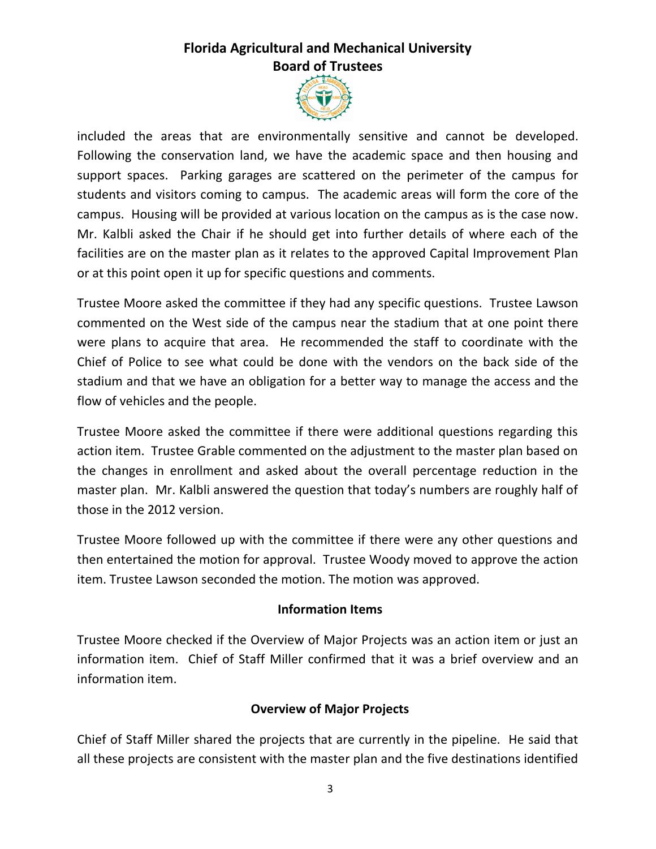

included the areas that are environmentally sensitive and cannot be developed. Following the conservation land, we have the academic space and then housing and support spaces. Parking garages are scattered on the perimeter of the campus for students and visitors coming to campus. The academic areas will form the core of the campus. Housing will be provided at various location on the campus as is the case now. Mr. Kalbli asked the Chair if he should get into further details of where each of the facilities are on the master plan as it relates to the approved Capital Improvement Plan or at this point open it up for specific questions and comments.

Trustee Moore asked the committee if they had any specific questions. Trustee Lawson commented on the West side of the campus near the stadium that at one point there were plans to acquire that area. He recommended the staff to coordinate with the Chief of Police to see what could be done with the vendors on the back side of the stadium and that we have an obligation for a better way to manage the access and the flow of vehicles and the people.

Trustee Moore asked the committee if there were additional questions regarding this action item. Trustee Grable commented on the adjustment to the master plan based on the changes in enrollment and asked about the overall percentage reduction in the master plan. Mr. Kalbli answered the question that today's numbers are roughly half of those in the 2012 version.

Trustee Moore followed up with the committee if there were any other questions and then entertained the motion for approval. Trustee Woody moved to approve the action item. Trustee Lawson seconded the motion. The motion was approved.

#### **Information Items**

Trustee Moore checked if the Overview of Major Projects was an action item or just an information item. Chief of Staff Miller confirmed that it was a brief overview and an information item.

#### **Overview of Major Projects**

Chief of Staff Miller shared the projects that are currently in the pipeline. He said that all these projects are consistent with the master plan and the five destinations identified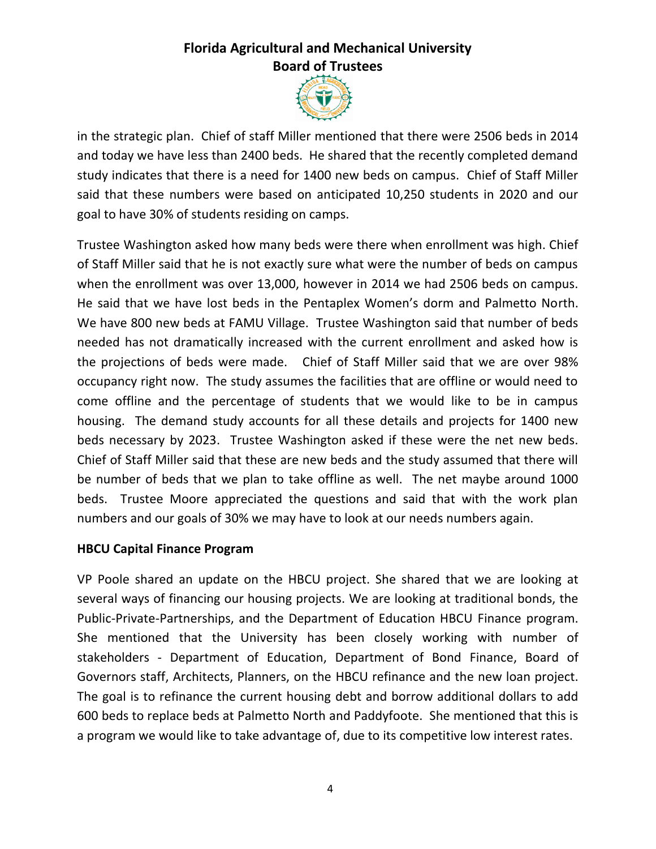

in the strategic plan. Chief of staff Miller mentioned that there were 2506 beds in 2014 and today we have less than 2400 beds. He shared that the recently completed demand study indicates that there is a need for 1400 new beds on campus. Chief of Staff Miller said that these numbers were based on anticipated 10,250 students in 2020 and our goal to have 30% of students residing on camps.

Trustee Washington asked how many beds were there when enrollment was high. Chief of Staff Miller said that he is not exactly sure what were the number of beds on campus when the enrollment was over 13,000, however in 2014 we had 2506 beds on campus. He said that we have lost beds in the Pentaplex Women's dorm and Palmetto North. We have 800 new beds at FAMU Village. Trustee Washington said that number of beds needed has not dramatically increased with the current enrollment and asked how is the projections of beds were made. Chief of Staff Miller said that we are over 98% occupancy right now. The study assumes the facilities that are offline or would need to come offline and the percentage of students that we would like to be in campus housing. The demand study accounts for all these details and projects for 1400 new beds necessary by 2023. Trustee Washington asked if these were the net new beds. Chief of Staff Miller said that these are new beds and the study assumed that there will be number of beds that we plan to take offline as well. The net maybe around 1000 beds. Trustee Moore appreciated the questions and said that with the work plan numbers and our goals of 30% we may have to look at our needs numbers again.

#### **HBCU Capital Finance Program**

VP Poole shared an update on the HBCU project. She shared that we are looking at several ways of financing our housing projects. We are looking at traditional bonds, the Public-Private-Partnerships, and the Department of Education HBCU Finance program. She mentioned that the University has been closely working with number of stakeholders - Department of Education, Department of Bond Finance, Board of Governors staff, Architects, Planners, on the HBCU refinance and the new loan project. The goal is to refinance the current housing debt and borrow additional dollars to add 600 beds to replace beds at Palmetto North and Paddyfoote. She mentioned that this is a program we would like to take advantage of, due to its competitive low interest rates.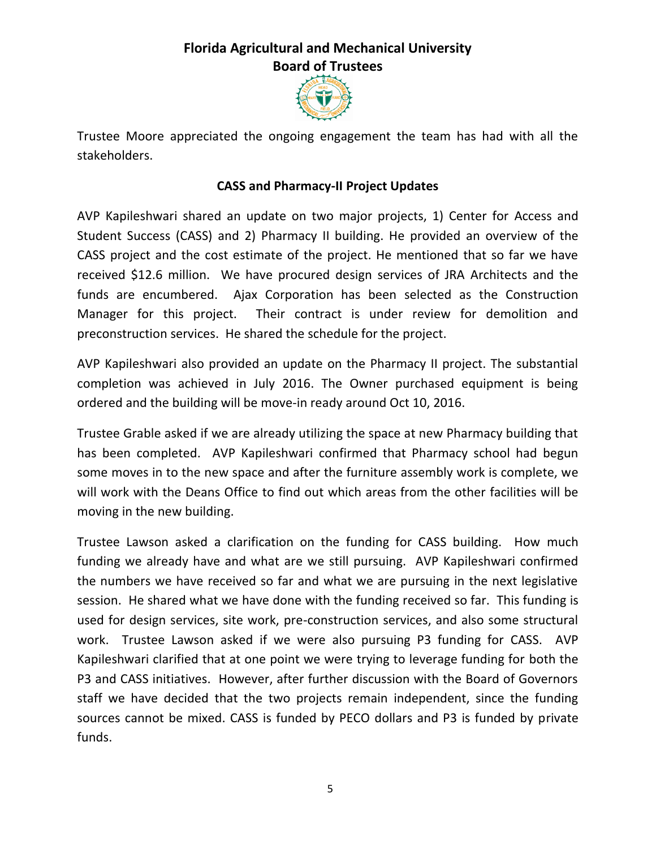

Trustee Moore appreciated the ongoing engagement the team has had with all the stakeholders.

#### **CASS and Pharmacy-II Project Updates**

AVP Kapileshwari shared an update on two major projects, 1) Center for Access and Student Success (CASS) and 2) Pharmacy II building. He provided an overview of the CASS project and the cost estimate of the project. He mentioned that so far we have received \$12.6 million. We have procured design services of JRA Architects and the funds are encumbered. Ajax Corporation has been selected as the Construction Manager for this project. Their contract is under review for demolition and preconstruction services. He shared the schedule for the project.

AVP Kapileshwari also provided an update on the Pharmacy II project. The substantial completion was achieved in July 2016. The Owner purchased equipment is being ordered and the building will be move-in ready around Oct 10, 2016.

Trustee Grable asked if we are already utilizing the space at new Pharmacy building that has been completed. AVP Kapileshwari confirmed that Pharmacy school had begun some moves in to the new space and after the furniture assembly work is complete, we will work with the Deans Office to find out which areas from the other facilities will be moving in the new building.

Trustee Lawson asked a clarification on the funding for CASS building. How much funding we already have and what are we still pursuing. AVP Kapileshwari confirmed the numbers we have received so far and what we are pursuing in the next legislative session. He shared what we have done with the funding received so far. This funding is used for design services, site work, pre-construction services, and also some structural work. Trustee Lawson asked if we were also pursuing P3 funding for CASS. AVP Kapileshwari clarified that at one point we were trying to leverage funding for both the P3 and CASS initiatives. However, after further discussion with the Board of Governors staff we have decided that the two projects remain independent, since the funding sources cannot be mixed. CASS is funded by PECO dollars and P3 is funded by private funds.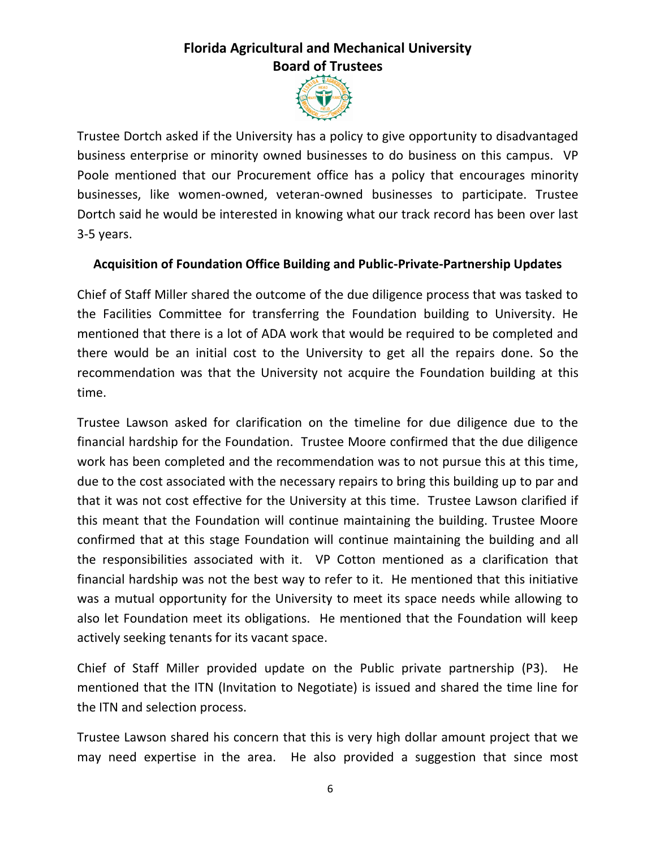

Trustee Dortch asked if the University has a policy to give opportunity to disadvantaged business enterprise or minority owned businesses to do business on this campus. VP Poole mentioned that our Procurement office has a policy that encourages minority businesses, like women-owned, veteran-owned businesses to participate. Trustee Dortch said he would be interested in knowing what our track record has been over last 3-5 years.

#### **Acquisition of Foundation Office Building and Public-Private-Partnership Updates**

Chief of Staff Miller shared the outcome of the due diligence process that was tasked to the Facilities Committee for transferring the Foundation building to University. He mentioned that there is a lot of ADA work that would be required to be completed and there would be an initial cost to the University to get all the repairs done. So the recommendation was that the University not acquire the Foundation building at this time.

Trustee Lawson asked for clarification on the timeline for due diligence due to the financial hardship for the Foundation. Trustee Moore confirmed that the due diligence work has been completed and the recommendation was to not pursue this at this time, due to the cost associated with the necessary repairs to bring this building up to par and that it was not cost effective for the University at this time. Trustee Lawson clarified if this meant that the Foundation will continue maintaining the building. Trustee Moore confirmed that at this stage Foundation will continue maintaining the building and all the responsibilities associated with it. VP Cotton mentioned as a clarification that financial hardship was not the best way to refer to it. He mentioned that this initiative was a mutual opportunity for the University to meet its space needs while allowing to also let Foundation meet its obligations. He mentioned that the Foundation will keep actively seeking tenants for its vacant space.

Chief of Staff Miller provided update on the Public private partnership (P3). He mentioned that the ITN (Invitation to Negotiate) is issued and shared the time line for the ITN and selection process.

Trustee Lawson shared his concern that this is very high dollar amount project that we may need expertise in the area. He also provided a suggestion that since most